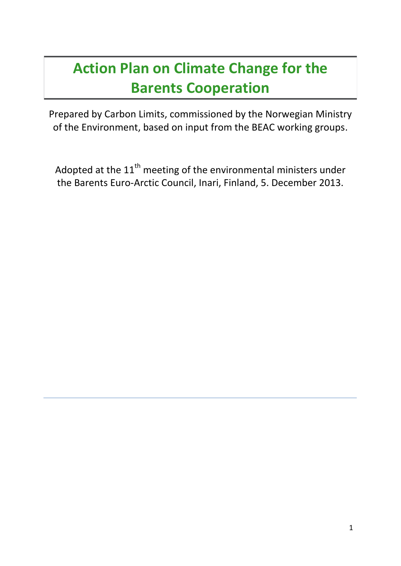# **Action Plan on Climate Change for the Barents Cooperation**

Prepared by Carbon Limits, commissioned by the Norwegian Ministry of the Environment, based on input from the BEAC working groups.

Adopted at the  $11<sup>th</sup>$  meeting of the environmental ministers under the Barents Euro-Arctic Council, Inari, Finland, 5. December 2013.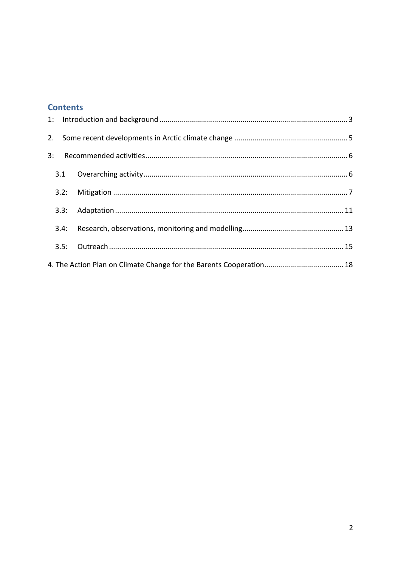### **Contents**

| 3: |      |  |  |
|----|------|--|--|
|    | 3.1  |  |  |
|    |      |  |  |
|    |      |  |  |
|    | 3.4: |  |  |
|    |      |  |  |
|    |      |  |  |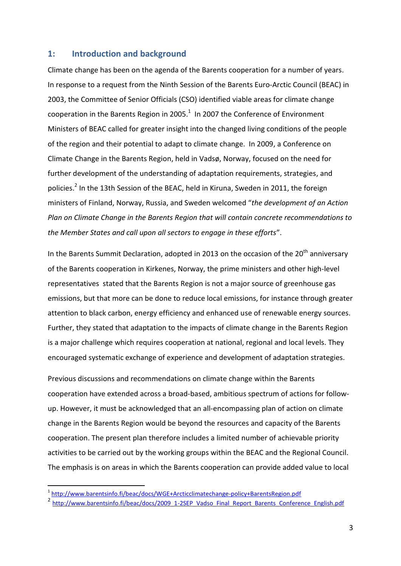#### <span id="page-2-0"></span>**1: Introduction and background**

Climate change has been on the agenda of the Barents cooperation for a number of years. In response to a request from the Ninth Session of the Barents Euro-Arctic Council (BEAC) in 2003, the Committee of Senior Officials (CSO) identified viable areas for climate change cooperation in the Barents Region in 2005. $^1$  In 2007 the Conference of Environment Ministers of BEAC called for greater insight into the changed living conditions of the people of the region and their potential to adapt to climate change. In 2009, a Conference on Climate Change in the Barents Region, held in Vadsø, Norway, focused on the need for further development of the understanding of adaptation requirements, strategies, and policies.<sup>2</sup> In the 13th Session of the BEAC, held in Kiruna, Sweden in 2011, the foreign ministers of Finland, Norway, Russia, and Sweden welcomed "*the development of an Action Plan on Climate Change in the Barents Region that will contain concrete recommendations to the Member States and call upon all sectors to engage in these efforts*".

In the Barents Summit Declaration, adopted in 2013 on the occasion of the  $20<sup>th</sup>$  anniversary of the Barents cooperation in Kirkenes, Norway, the prime ministers and other high-level representatives stated that the Barents Region is not a major source of greenhouse gas emissions, but that more can be done to reduce local emissions, for instance through greater attention to black carbon, energy efficiency and enhanced use of renewable energy sources. Further, they stated that adaptation to the impacts of climate change in the Barents Region is a major challenge which requires cooperation at national, regional and local levels. They encouraged systematic exchange of experience and development of adaptation strategies.

Previous discussions and recommendations on climate change within the Barents cooperation have extended across a broad-based, ambitious spectrum of actions for followup. However, it must be acknowledged that an all-encompassing plan of action on climate change in the Barents Region would be beyond the resources and capacity of the Barents cooperation. The present plan therefore includes a limited number of achievable priority activities to be carried out by the working groups within the BEAC and the Regional Council. The emphasis is on areas in which the Barents cooperation can provide added value to local

 1 <http://www.barentsinfo.fi/beac/docs/WGE+Arcticclimatechange-policy+BarentsRegion.pdf>

<sup>&</sup>lt;sup>2</sup> [http://www.barentsinfo.fi/beac/docs/2009\\_1-2SEP\\_Vadso\\_Final\\_Report\\_Barents\\_Conference\\_English.pdf](http://www.barentsinfo.fi/beac/docs/2009_1-2SEP_Vadso_Final_Report_Barents_Conference_English.pdf)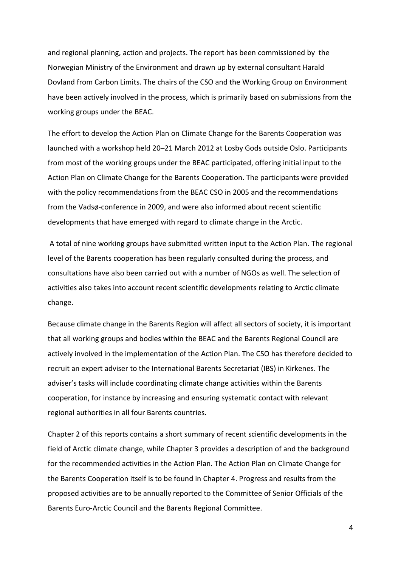and regional planning, action and projects. The report has been commissioned by the Norwegian Ministry of the Environment and drawn up by external consultant Harald Dovland from Carbon Limits. The chairs of the CSO and the Working Group on Environment have been actively involved in the process, which is primarily based on submissions from the working groups under the BEAC.

The effort to develop the Action Plan on Climate Change for the Barents Cooperation was launched with a workshop held 20–21 March 2012 at Losby Gods outside Oslo. Participants from most of the working groups under the BEAC participated, offering initial input to the Action Plan on Climate Change for the Barents Cooperation. The participants were provided with the policy recommendations from the BEAC CSO in 2005 and the recommendations from the Vadsø-conference in 2009, and were also informed about recent scientific developments that have emerged with regard to climate change in the Arctic.

A total of nine working groups have submitted written input to the Action Plan. The regional level of the Barents cooperation has been regularly consulted during the process, and consultations have also been carried out with a number of NGOs as well. The selection of activities also takes into account recent scientific developments relating to Arctic climate change.

Because climate change in the Barents Region will affect all sectors of society, it is important that all working groups and bodies within the BEAC and the Barents Regional Council are actively involved in the implementation of the Action Plan. The CSO has therefore decided to recruit an expert adviser to the International Barents Secretariat (IBS) in Kirkenes. The adviser's tasks will include coordinating climate change activities within the Barents cooperation, for instance by increasing and ensuring systematic contact with relevant regional authorities in all four Barents countries.

Chapter 2 of this reports contains a short summary of recent scientific developments in the field of Arctic climate change, while Chapter 3 provides a description of and the background for the recommended activities in the Action Plan. The Action Plan on Climate Change for the Barents Cooperation itself is to be found in Chapter 4. Progress and results from the proposed activities are to be annually reported to the Committee of Senior Officials of the Barents Euro-Arctic Council and the Barents Regional Committee.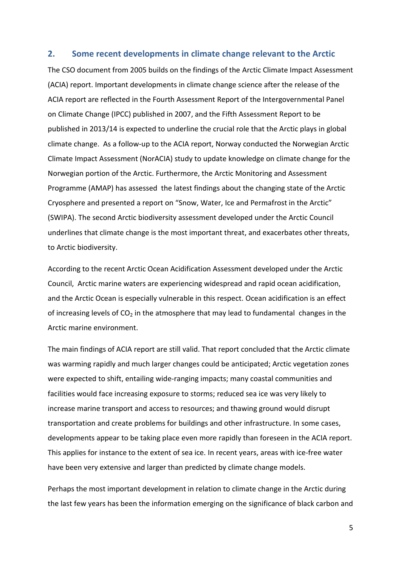#### <span id="page-4-0"></span>**2. Some recent developments in climate change relevant to the Arctic**

The CSO document from 2005 builds on the findings of the Arctic Climate Impact Assessment (ACIA) report. Important developments in climate change science after the release of the ACIA report are reflected in the Fourth Assessment Report of the Intergovernmental Panel on Climate Change (IPCC) published in 2007, and the Fifth Assessment Report to be published in 2013/14 is expected to underline the crucial role that the Arctic plays in global climate change. As a follow-up to the ACIA report, Norway conducted the Norwegian Arctic Climate Impact Assessment (NorACIA) study to update knowledge on climate change for the Norwegian portion of the Arctic. Furthermore, the Arctic Monitoring and Assessment Programme (AMAP) has assessed the latest findings about the changing state of the Arctic Cryosphere and presented a report on "Snow, Water, Ice and Permafrost in the Arctic" (SWIPA). The second Arctic biodiversity assessment developed under the Arctic Council underlines that climate change is the most important threat, and exacerbates other threats, to Arctic biodiversity.

According to the recent Arctic Ocean Acidification Assessment developed under the Arctic Council, Arctic marine waters are experiencing widespread and rapid ocean acidification, and the Arctic Ocean is especially vulnerable in this respect. Ocean acidification is an effect of increasing levels of  $CO<sub>2</sub>$  in the atmosphere that may lead to fundamental changes in the Arctic marine environment.

The main findings of ACIA report are still valid. That report concluded that the Arctic climate was warming rapidly and much larger changes could be anticipated; Arctic vegetation zones were expected to shift, entailing wide-ranging impacts; many coastal communities and facilities would face increasing exposure to storms; reduced sea ice was very likely to increase marine transport and access to resources; and thawing ground would disrupt transportation and create problems for buildings and other infrastructure. In some cases, developments appear to be taking place even more rapidly than foreseen in the ACIA report. This applies for instance to the extent of sea ice. In recent years, areas with ice-free water have been very extensive and larger than predicted by climate change models.

Perhaps the most important development in relation to climate change in the Arctic during the last few years has been the information emerging on the significance of black carbon and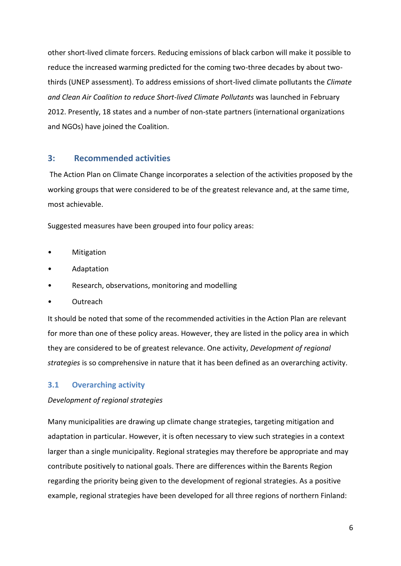other short-lived climate forcers. Reducing emissions of black carbon will make it possible to reduce the increased warming predicted for the coming two-three decades by about twothirds (UNEP assessment). To address emissions of short-lived climate pollutants the *Climate and Clean Air Coalition to reduce Short-lived Climate Pollutants* was launched in February 2012. Presently, 18 states and a number of non-state partners (international organizations and NGOs) have joined the Coalition.

#### <span id="page-5-0"></span>**3: Recommended activities**

The Action Plan on Climate Change incorporates a selection of the activities proposed by the working groups that were considered to be of the greatest relevance and, at the same time, most achievable.

Suggested measures have been grouped into four policy areas:

- **Mitigation**
- Adaptation
- Research, observations, monitoring and modelling
- Outreach

It should be noted that some of the recommended activities in the Action Plan are relevant for more than one of these policy areas. However, they are listed in the policy area in which they are considered to be of greatest relevance. One activity, *Development of regional strategies* is so comprehensive in nature that it has been defined as an overarching activity.

#### <span id="page-5-1"></span>**3.1 Overarching activity**

#### *Development of regional strategies*

Many municipalities are drawing up climate change strategies, targeting mitigation and adaptation in particular. However, it is often necessary to view such strategies in a context larger than a single municipality. Regional strategies may therefore be appropriate and may contribute positively to national goals. There are differences within the Barents Region regarding the priority being given to the development of regional strategies. As a positive example, regional strategies have been developed for all three regions of northern Finland: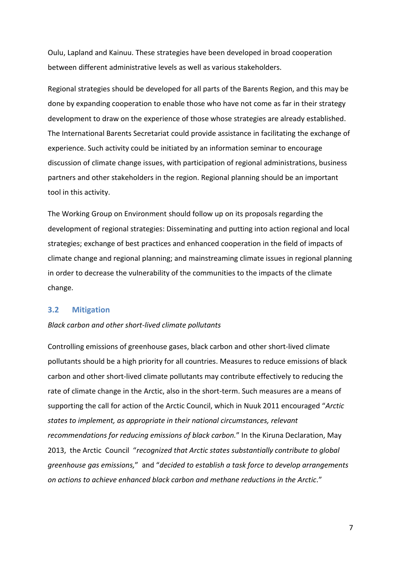Oulu, Lapland and Kainuu. These strategies have been developed in broad cooperation between different administrative levels as well as various stakeholders.

Regional strategies should be developed for all parts of the Barents Region, and this may be done by expanding cooperation to enable those who have not come as far in their strategy development to draw on the experience of those whose strategies are already established. The International Barents Secretariat could provide assistance in facilitating the exchange of experience. Such activity could be initiated by an information seminar to encourage discussion of climate change issues, with participation of regional administrations, business partners and other stakeholders in the region. Regional planning should be an important tool in this activity.

The Working Group on Environment should follow up on its proposals regarding the development of regional strategies: Disseminating and putting into action regional and local strategies; exchange of best practices and enhanced cooperation in the field of impacts of climate change and regional planning; and mainstreaming climate issues in regional planning in order to decrease the vulnerability of the communities to the impacts of the climate change.

#### <span id="page-6-0"></span>**3.2 Mitigation**

#### *Black carbon and other short-lived climate pollutants*

Controlling emissions of greenhouse gases, black carbon and other short-lived climate pollutants should be a high priority for all countries. Measures to reduce emissions of black carbon and other short-lived climate pollutants may contribute effectively to reducing the rate of climate change in the Arctic, also in the short-term. Such measures are a means of supporting the call for action of the Arctic Council, which in Nuuk 2011 encouraged "*Arctic states to implement, as appropriate in their national circumstances, relevant recommendations for reducing emissions of black carbon.*" In the Kiruna Declaration, May 2013, the Arctic Council "*recognized that Arctic states substantially contribute to global greenhouse gas emissions,*" and "*decided to establish a task force to develop arrangements on actions to achieve enhanced black carbon and methane reductions in the Arctic.*"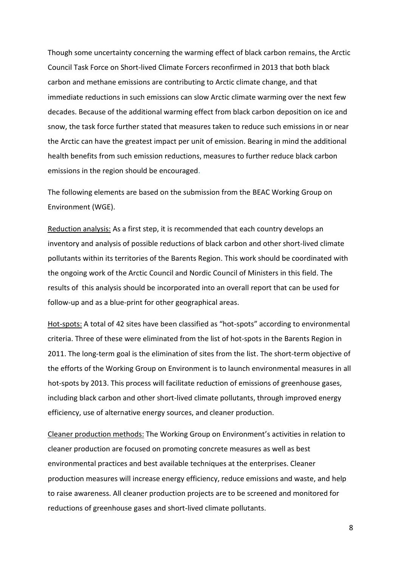Though some uncertainty concerning the warming effect of black carbon remains, the Arctic Council Task Force on Short-lived Climate Forcers reconfirmed in 2013 that both black carbon and methane emissions are contributing to Arctic climate change, and that immediate reductions in such emissions can slow Arctic climate warming over the next few decades. Because of the additional warming effect from black carbon deposition on ice and snow, the task force further stated that measures taken to reduce such emissions in or near the Arctic can have the greatest impact per unit of emission. Bearing in mind the additional health benefits from such emission reductions, measures to further reduce black carbon emissions in the region should be encouraged.

The following elements are based on the submission from the BEAC Working Group on Environment (WGE).

Reduction analysis: As a first step, it is recommended that each country develops an inventory and analysis of possible reductions of black carbon and other short-lived climate pollutants within its territories of the Barents Region. This work should be coordinated with the ongoing work of the Arctic Council and Nordic Council of Ministers in this field. The results of this analysis should be incorporated into an overall report that can be used for follow-up and as a blue-print for other geographical areas.

Hot-spots: A total of 42 sites have been classified as "hot-spots" according to environmental criteria. Three of these were eliminated from the list of hot-spots in the Barents Region in 2011. The long-term goal is the elimination of sites from the list. The short-term objective of the efforts of the Working Group on Environment is to launch environmental measures in all hot-spots by 2013. This process will facilitate reduction of emissions of greenhouse gases, including black carbon and other short-lived climate pollutants, through improved energy efficiency, use of alternative energy sources, and cleaner production.

Cleaner production methods: The Working Group on Environment's activities in relation to cleaner production are focused on promoting concrete measures as well as best environmental practices and best available techniques at the enterprises. Cleaner production measures will increase energy efficiency, reduce emissions and waste, and help to raise awareness. All cleaner production projects are to be screened and monitored for reductions of greenhouse gases and short-lived climate pollutants.

8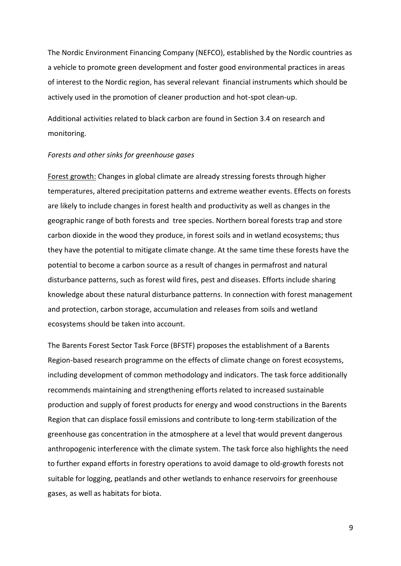The Nordic Environment Financing Company (NEFCO), established by the Nordic countries as a vehicle to promote green development and foster good environmental practices in areas of interest to the Nordic region, has several relevant financial instruments which should be actively used in the promotion of cleaner production and hot-spot clean-up.

Additional activities related to black carbon are found in Section 3.4 on research and monitoring.

#### *Forests and other sinks for greenhouse gases*

Forest growth: Changes in global climate are already stressing forests through higher temperatures, altered precipitation patterns and extreme weather events. Effects on forests are likely to include changes in forest health and productivity as well as changes in the geographic range of both forests and tree species. Northern boreal forests trap and store carbon dioxide in the wood they produce, in forest soils and in wetland ecosystems; thus they have the potential to mitigate climate change. At the same time these forests have the potential to become a carbon source as a result of changes in permafrost and natural disturbance patterns, such as forest wild fires, pest and diseases. Efforts include sharing knowledge about these natural disturbance patterns. In connection with forest management and protection, carbon storage, accumulation and releases from soils and wetland ecosystems should be taken into account.

The Barents Forest Sector Task Force (BFSTF) proposes the establishment of a Barents Region-based research programme on the effects of climate change on forest ecosystems, including development of common methodology and indicators. The task force additionally recommends maintaining and strengthening efforts related to increased sustainable production and supply of forest products for energy and wood constructions in the Barents Region that can displace fossil emissions and contribute to long-term stabilization of the greenhouse gas concentration in the atmosphere at a level that would prevent dangerous anthropogenic interference with the climate system. The task force also highlights the need to further expand efforts in forestry operations to avoid damage to old-growth forests not suitable for logging, peatlands and other wetlands to enhance reservoirs for greenhouse gases, as well as habitats for biota.

9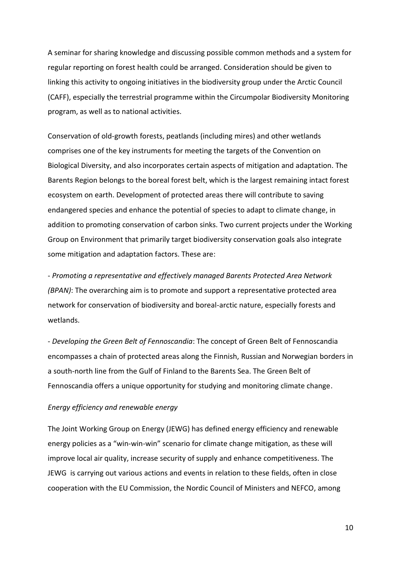A seminar for sharing knowledge and discussing possible common methods and a system for regular reporting on forest health could be arranged. Consideration should be given to linking this activity to ongoing initiatives in the biodiversity group under the Arctic Council (CAFF), especially the terrestrial programme within the Circumpolar Biodiversity Monitoring program, as well as to national activities.

Conservation of old-growth forests, peatlands (including mires) and other wetlands comprises one of the key instruments for meeting the targets of the Convention on Biological Diversity, and also incorporates certain aspects of mitigation and adaptation. The Barents Region belongs to the boreal forest belt, which is the largest remaining intact forest ecosystem on earth. Development of protected areas there will contribute to saving endangered species and enhance the potential of species to adapt to climate change, in addition to promoting conservation of carbon sinks. Two current projects under the Working Group on Environment that primarily target biodiversity conservation goals also integrate some mitigation and adaptation factors. These are:

- *Promoting a representative and effectively managed Barents Protected Area Network (BPAN)*: The overarching aim is to promote and support a representative protected area network for conservation of biodiversity and boreal-arctic nature, especially forests and wetlands.

- *Developing the Green Belt of Fennoscandia*: The concept of Green Belt of Fennoscandia encompasses a chain of protected areas along the Finnish, Russian and Norwegian borders in a south-north line from the Gulf of Finland to the Barents Sea. The Green Belt of Fennoscandia offers a unique opportunity for studying and monitoring climate change.

#### *Energy efficiency and renewable energy*

The Joint Working Group on Energy (JEWG) has defined energy efficiency and renewable energy policies as a "win-win-win" scenario for climate change mitigation, as these will improve local air quality, increase security of supply and enhance competitiveness. The JEWG is carrying out various actions and events in relation to these fields, often in close cooperation with the EU Commission, the Nordic Council of Ministers and NEFCO, among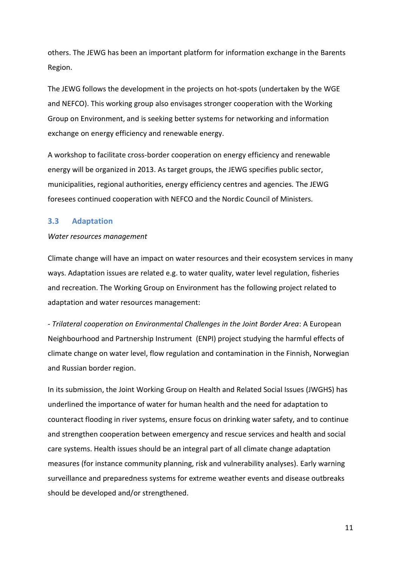others. The JEWG has been an important platform for information exchange in the Barents Region.

The JEWG follows the development in the projects on hot-spots (undertaken by the WGE and NEFCO). This working group also envisages stronger cooperation with the Working Group on Environment, and is seeking better systems for networking and information exchange on energy efficiency and renewable energy.

A workshop to facilitate cross-border cooperation on energy efficiency and renewable energy will be organized in 2013. As target groups, the JEWG specifies public sector, municipalities, regional authorities, energy efficiency centres and agencies. The JEWG foresees continued cooperation with NEFCO and the Nordic Council of Ministers.

#### <span id="page-10-0"></span>**3.3 Adaptation**

#### *Water resources management*

Climate change will have an impact on water resources and their ecosystem services in many ways. Adaptation issues are related e.g. to water quality, water level regulation, fisheries and recreation. The Working Group on Environment has the following project related to adaptation and water resources management:

- *Trilateral cooperation on Environmental Challenges in the Joint Border Area*: A European Neighbourhood and Partnership Instrument (ENPI) project studying the harmful effects of climate change on water level, flow regulation and contamination in the Finnish, Norwegian and Russian border region.

In its submission, the Joint Working Group on Health and Related Social Issues (JWGHS) has underlined the importance of water for human health and the need for adaptation to counteract flooding in river systems, ensure focus on drinking water safety, and to continue and strengthen cooperation between emergency and rescue services and health and social care systems. Health issues should be an integral part of all climate change adaptation measures (for instance community planning, risk and vulnerability analyses). Early warning surveillance and preparedness systems for extreme weather events and disease outbreaks should be developed and/or strengthened.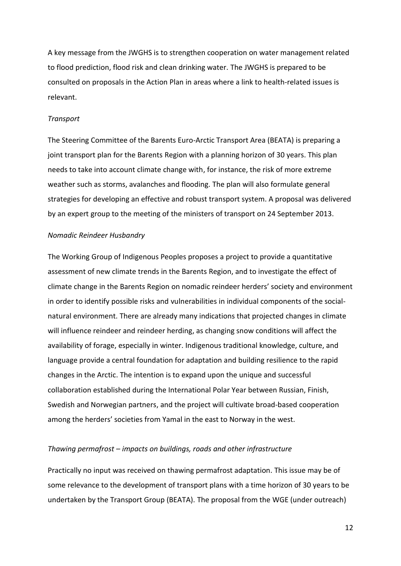A key message from the JWGHS is to strengthen cooperation on water management related to flood prediction, flood risk and clean drinking water. The JWGHS is prepared to be consulted on proposals in the Action Plan in areas where a link to health-related issues is relevant.

#### *Transport*

The Steering Committee of the Barents Euro-Arctic Transport Area (BEATA) is preparing a joint transport plan for the Barents Region with a planning horizon of 30 years. This plan needs to take into account climate change with, for instance, the risk of more extreme weather such as storms, avalanches and flooding. The plan will also formulate general strategies for developing an effective and robust transport system. A proposal was delivered by an expert group to the meeting of the ministers of transport on 24 September 2013.

#### *Nomadic Reindeer Husbandry*

The Working Group of Indigenous Peoples proposes a project to provide a quantitative assessment of new climate trends in the Barents Region, and to investigate the effect of climate change in the Barents Region on nomadic reindeer herders' society and environment in order to identify possible risks and vulnerabilities in individual components of the socialnatural environment. There are already many indications that projected changes in climate will influence reindeer and reindeer herding, as changing snow conditions will affect the availability of forage, especially in winter. Indigenous traditional knowledge, culture, and language provide a central foundation for adaptation and building resilience to the rapid changes in the Arctic. The intention is to expand upon the unique and successful collaboration established during the International Polar Year between Russian, Finish, Swedish and Norwegian partners, and the project will cultivate broad-based cooperation among the herders' societies from Yamal in the east to Norway in the west.

#### *Thawing permafrost – impacts on buildings, roads and other infrastructure*

Practically no input was received on thawing permafrost adaptation. This issue may be of some relevance to the development of transport plans with a time horizon of 30 years to be undertaken by the Transport Group (BEATA). The proposal from the WGE (under outreach)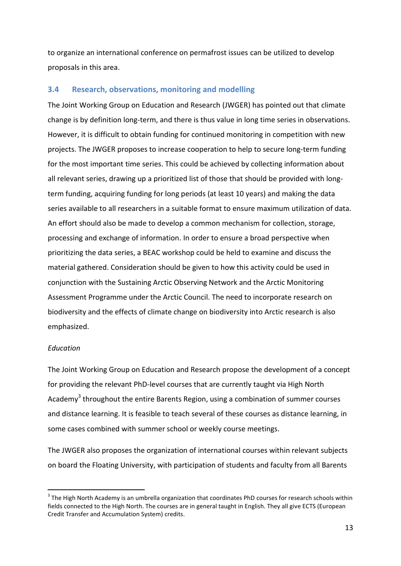to organize an international conference on permafrost issues can be utilized to develop proposals in this area.

#### <span id="page-12-0"></span>**3.4 Research, observations, monitoring and modelling**

The Joint Working Group on Education and Research (JWGER) has pointed out that climate change is by definition long-term, and there is thus value in long time series in observations. However, it is difficult to obtain funding for continued monitoring in competition with new projects. The JWGER proposes to increase cooperation to help to secure long-term funding for the most important time series. This could be achieved by collecting information about all relevant series, drawing up a prioritized list of those that should be provided with longterm funding, acquiring funding for long periods (at least 10 years) and making the data series available to all researchers in a suitable format to ensure maximum utilization of data. An effort should also be made to develop a common mechanism for collection, storage, processing and exchange of information. In order to ensure a broad perspective when prioritizing the data series, a BEAC workshop could be held to examine and discuss the material gathered. Consideration should be given to how this activity could be used in conjunction with the Sustaining Arctic Observing Network and the Arctic Monitoring Assessment Programme under the Arctic Council. The need to incorporate research on biodiversity and the effects of climate change on biodiversity into Arctic research is also emphasized.

#### *Education*

 $\overline{a}$ 

The Joint Working Group on Education and Research propose the development of a concept for providing the relevant PhD-level courses that are currently taught via High North Academy<sup>3</sup> throughout the entire Barents Region, using a combination of summer courses and distance learning. It is feasible to teach several of these courses as distance learning, in some cases combined with summer school or weekly course meetings.

The JWGER also proposes the organization of international courses within relevant subjects on board the Floating University, with participation of students and faculty from all Barents

 $^3$  The High North Academy is an umbrella organization that coordinates PhD courses for research schools within fields connected to the High North. The courses are in general taught in English. They all give ECTS (European Credit Transfer and Accumulation System) credits.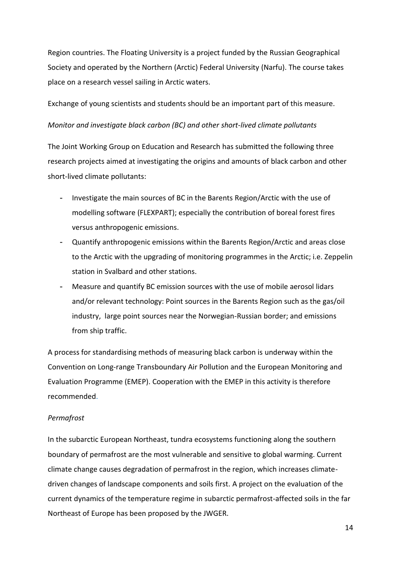Region countries. The Floating University is a project funded by the Russian Geographical Society and operated by the Northern (Arctic) Federal University (Narfu). The course takes place on a research vessel sailing in Arctic waters.

Exchange of young scientists and students should be an important part of this measure.

#### *Monitor and investigate black carbon (BC) and other short-lived climate pollutants*

The Joint Working Group on Education and Research has submitted the following three research projects aimed at investigating the origins and amounts of black carbon and other short-lived climate pollutants:

- Investigate the main sources of BC in the Barents Region/Arctic with the use of modelling software (FLEXPART); especially the contribution of boreal forest fires versus anthropogenic emissions.
- Quantify anthropogenic emissions within the Barents Region/Arctic and areas close to the Arctic with the upgrading of monitoring programmes in the Arctic; i.e. Zeppelin station in Svalbard and other stations.
- Measure and quantify BC emission sources with the use of mobile aerosol lidars and/or relevant technology: Point sources in the Barents Region such as the gas/oil industry, large point sources near the Norwegian-Russian border; and emissions from ship traffic.

A process for standardising methods of measuring black carbon is underway within the Convention on Long-range Transboundary Air Pollution and the European Monitoring and Evaluation Programme (EMEP). Cooperation with the EMEP in this activity is therefore recommended.

#### *Permafrost*

In the subarctic European Northeast, tundra ecosystems functioning along the southern boundary of permafrost are the most vulnerable and sensitive to global warming. Current climate change causes degradation of permafrost in the region, which increases climatedriven changes of landscape components and soils first. A project on the evaluation of the current dynamics of the temperature regime in subarctic permafrost-affected soils in the far Northeast of Europe has been proposed by the JWGER.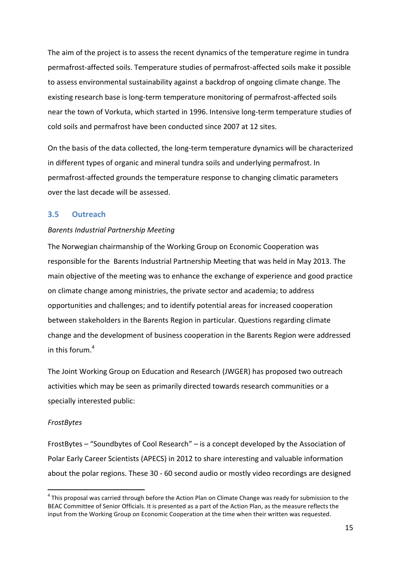The aim of the project is to assess the recent dynamics of the temperature regime in tundra permafrost-affected soils. Temperature studies of permafrost-affected soils make it possible to assess environmental sustainability against a backdrop of ongoing climate change. The existing research base is long-term temperature monitoring of permafrost-affected soils near the town of Vorkuta, which started in 1996. Intensive long-term temperature studies of cold soils and permafrost have been conducted since 2007 at 12 sites.

On the basis of the data collected, the long-term temperature dynamics will be characterized in different types of organic and mineral tundra soils and underlying permafrost. In permafrost-affected grounds the temperature response to changing climatic parameters over the last decade will be assessed.

#### <span id="page-14-0"></span>**3.5 Outreach**

#### *Barents Industrial Partnership Meeting*

The Norwegian chairmanship of the Working Group on Economic Cooperation was responsible for the Barents Industrial Partnership Meeting that was held in May 2013. The main objective of the meeting was to enhance the exchange of experience and good practice on climate change among ministries, the private sector and academia; to address opportunities and challenges; and to identify potential areas for increased cooperation between stakeholders in the Barents Region in particular. Questions regarding climate change and the development of business cooperation in the Barents Region were addressed in this forum. 4

The Joint Working Group on Education and Research (JWGER) has proposed two outreach activities which may be seen as primarily directed towards research communities or a specially interested public:

#### *FrostBytes*

 $\overline{a}$ 

FrostBytes – "Soundbytes of Cool Research" – is a concept developed by the Association of Polar Early Career Scientists (APECS) in 2012 to share interesting and valuable information about the polar regions. These 30 - 60 second audio or mostly video recordings are designed

 $^4$  This proposal was carried through before the Action Plan on Climate Change was ready for submission to the BEAC Committee of Senior Officials. It is presented as a part of the Action Plan, as the measure reflects the input from the Working Group on Economic Cooperation at the time when their written was requested.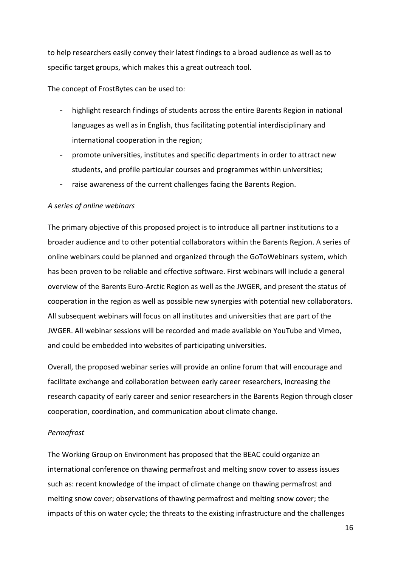to help researchers easily convey their latest findings to a broad audience as well as to specific target groups, which makes this a great outreach tool.

The concept of FrostBytes can be used to:

- highlight research findings of students across the entire Barents Region in national languages as well as in English, thus facilitating potential interdisciplinary and international cooperation in the region;
- promote universities, institutes and specific departments in order to attract new students, and profile particular courses and programmes within universities;
- raise awareness of the current challenges facing the Barents Region.

#### *A series of online webinars*

The primary objective of this proposed project is to introduce all partner institutions to a broader audience and to other potential collaborators within the Barents Region. A series of online webinars could be planned and organized through the GoToWebinars system, which has been proven to be reliable and effective software. First webinars will include a general overview of the Barents Euro-Arctic Region as well as the JWGER, and present the status of cooperation in the region as well as possible new synergies with potential new collaborators. All subsequent webinars will focus on all institutes and universities that are part of the JWGER. All webinar sessions will be recorded and made available on YouTube and Vimeo, and could be embedded into websites of participating universities.

Overall, the proposed webinar series will provide an online forum that will encourage and facilitate exchange and collaboration between early career researchers, increasing the research capacity of early career and senior researchers in the Barents Region through closer cooperation, coordination, and communication about climate change.

#### *Permafrost*

The Working Group on Environment has proposed that the BEAC could organize an international conference on thawing permafrost and melting snow cover to assess issues such as: recent knowledge of the impact of climate change on thawing permafrost and melting snow cover; observations of thawing permafrost and melting snow cover; the impacts of this on water cycle; the threats to the existing infrastructure and the challenges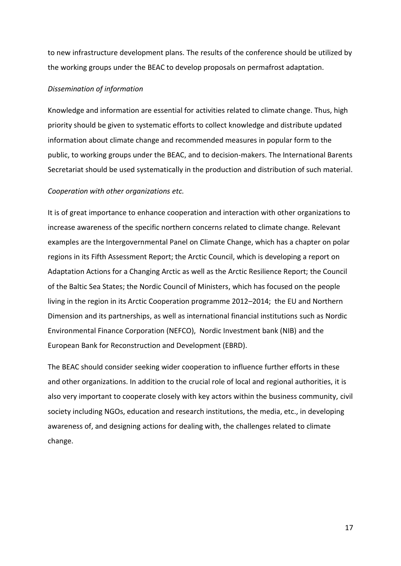to new infrastructure development plans. The results of the conference should be utilized by the working groups under the BEAC to develop proposals on permafrost adaptation.

#### *Dissemination of information*

Knowledge and information are essential for activities related to climate change. Thus, high priority should be given to systematic efforts to collect knowledge and distribute updated information about climate change and recommended measures in popular form to the public, to working groups under the BEAC, and to decision-makers. The International Barents Secretariat should be used systematically in the production and distribution of such material.

#### *Cooperation with other organizations etc.*

It is of great importance to enhance cooperation and interaction with other organizations to increase awareness of the specific northern concerns related to climate change. Relevant examples are the Intergovernmental Panel on Climate Change, which has a chapter on polar regions in its Fifth Assessment Report; the Arctic Council, which is developing a report on Adaptation Actions for a Changing Arctic as well as the Arctic Resilience Report; the Council of the Baltic Sea States; the Nordic Council of Ministers, which has focused on the people living in the region in its Arctic Cooperation programme 2012–2014; the EU and Northern Dimension and its partnerships, as well as international financial institutions such as Nordic Environmental Finance Corporation (NEFCO), Nordic Investment bank (NIB) and the European Bank for Reconstruction and Development (EBRD).

The BEAC should consider seeking wider cooperation to influence further efforts in these and other organizations. In addition to the crucial role of local and regional authorities, it is also very important to cooperate closely with key actors within the business community, civil society including NGOs, education and research institutions, the media, etc., in developing awareness of, and designing actions for dealing with, the challenges related to climate change.

17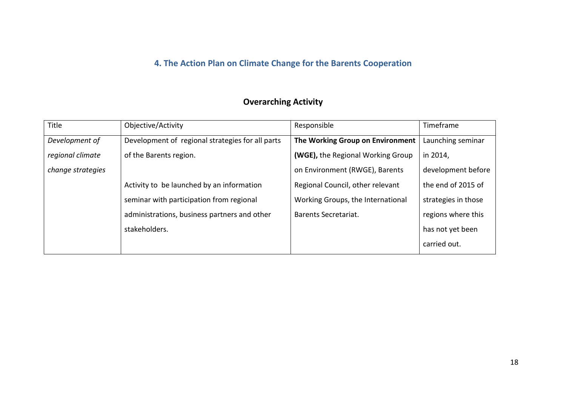# **4. The Action Plan on Climate Change for the Barents Cooperation**

### **Overarching Activity**

<span id="page-17-0"></span>

| Title             | Objective/Activity                               | Responsible                       | Timeframe           |
|-------------------|--------------------------------------------------|-----------------------------------|---------------------|
| Development of    | Development of regional strategies for all parts | The Working Group on Environment  | Launching seminar   |
| regional climate  | of the Barents region.                           | (WGE), the Regional Working Group | in 2014,            |
| change strategies |                                                  | on Environment (RWGE), Barents    | development before  |
|                   | Activity to be launched by an information        | Regional Council, other relevant  | the end of 2015 of  |
|                   | seminar with participation from regional         | Working Groups, the International | strategies in those |
|                   | administrations, business partners and other     | Barents Secretariat.              | regions where this  |
|                   | stakeholders.                                    |                                   | has not yet been    |
|                   |                                                  |                                   | carried out.        |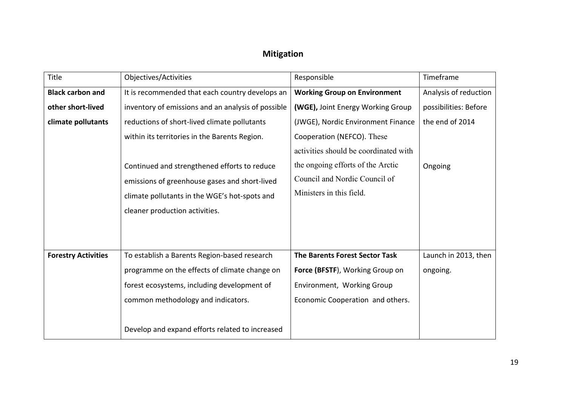### **Mitigation**

| Title                      | Objectives/Activities                                                                                                                                                            | Responsible                                                                                                                             | Timeframe             |
|----------------------------|----------------------------------------------------------------------------------------------------------------------------------------------------------------------------------|-----------------------------------------------------------------------------------------------------------------------------------------|-----------------------|
| <b>Black carbon and</b>    | It is recommended that each country develops an                                                                                                                                  | <b>Working Group on Environment</b>                                                                                                     | Analysis of reduction |
| other short-lived          | inventory of emissions and an analysis of possible                                                                                                                               | (WGE), Joint Energy Working Group                                                                                                       | possibilities: Before |
| climate pollutants         | reductions of short-lived climate pollutants                                                                                                                                     | (JWGE), Nordic Environment Finance                                                                                                      | the end of 2014       |
|                            | within its territories in the Barents Region.                                                                                                                                    | Cooperation (NEFCO). These                                                                                                              |                       |
|                            | Continued and strengthened efforts to reduce<br>emissions of greenhouse gases and short-lived<br>climate pollutants in the WGE's hot-spots and<br>cleaner production activities. | activities should be coordinated with<br>the ongoing efforts of the Arctic<br>Council and Nordic Council of<br>Ministers in this field. | Ongoing               |
| <b>Forestry Activities</b> | To establish a Barents Region-based research                                                                                                                                     | The Barents Forest Sector Task                                                                                                          | Launch in 2013, then  |
|                            | programme on the effects of climate change on                                                                                                                                    | Force (BFSTF), Working Group on                                                                                                         | ongoing.              |
|                            | forest ecosystems, including development of                                                                                                                                      | Environment, Working Group                                                                                                              |                       |
|                            | common methodology and indicators.                                                                                                                                               | Economic Cooperation and others.                                                                                                        |                       |
|                            | Develop and expand efforts related to increased                                                                                                                                  |                                                                                                                                         |                       |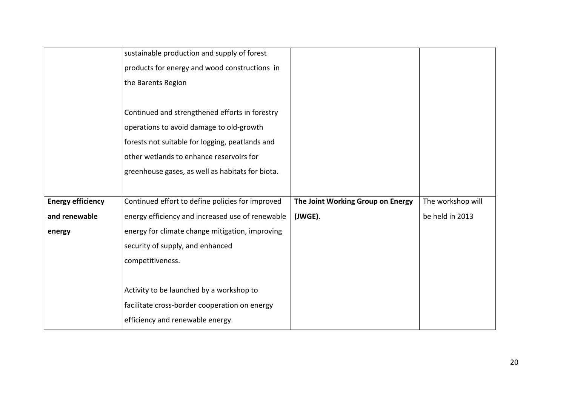|                          | sustainable production and supply of forest      |                                   |                   |
|--------------------------|--------------------------------------------------|-----------------------------------|-------------------|
|                          | products for energy and wood constructions in    |                                   |                   |
|                          | the Barents Region                               |                                   |                   |
|                          |                                                  |                                   |                   |
|                          | Continued and strengthened efforts in forestry   |                                   |                   |
|                          | operations to avoid damage to old-growth         |                                   |                   |
|                          | forests not suitable for logging, peatlands and  |                                   |                   |
|                          | other wetlands to enhance reservoirs for         |                                   |                   |
|                          | greenhouse gases, as well as habitats for biota. |                                   |                   |
|                          |                                                  |                                   |                   |
| <b>Energy efficiency</b> | Continued effort to define policies for improved | The Joint Working Group on Energy | The workshop will |
| and renewable            | energy efficiency and increased use of renewable | (JWGE).                           | be held in 2013   |
| energy                   | energy for climate change mitigation, improving  |                                   |                   |
|                          | security of supply, and enhanced                 |                                   |                   |
|                          | competitiveness.                                 |                                   |                   |
|                          |                                                  |                                   |                   |
|                          | Activity to be launched by a workshop to         |                                   |                   |
|                          | facilitate cross-border cooperation on energy    |                                   |                   |
|                          | efficiency and renewable energy.                 |                                   |                   |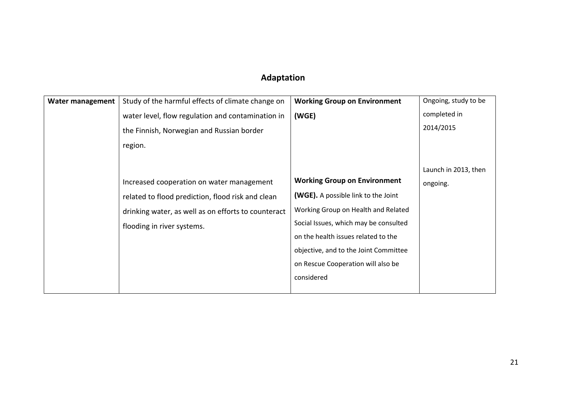### **Adaptation**

| <b>Water management</b> | Study of the harmful effects of climate change on   | <b>Working Group on Environment</b>        | Ongoing, study to be |
|-------------------------|-----------------------------------------------------|--------------------------------------------|----------------------|
|                         | water level, flow regulation and contamination in   | (WGE)                                      | completed in         |
|                         | the Finnish, Norwegian and Russian border           |                                            | 2014/2015            |
|                         | region.                                             |                                            |                      |
|                         |                                                     |                                            |                      |
|                         |                                                     |                                            | Launch in 2013, then |
|                         | Increased cooperation on water management           | <b>Working Group on Environment</b>        | ongoing.             |
|                         | related to flood prediction, flood risk and clean   | <b>(WGE).</b> A possible link to the Joint |                      |
|                         | drinking water, as well as on efforts to counteract | Working Group on Health and Related        |                      |
|                         | flooding in river systems.                          | Social Issues, which may be consulted      |                      |
|                         |                                                     | on the health issues related to the        |                      |
|                         |                                                     | objective, and to the Joint Committee      |                      |
|                         |                                                     | on Rescue Cooperation will also be         |                      |
|                         |                                                     | considered                                 |                      |
|                         |                                                     |                                            |                      |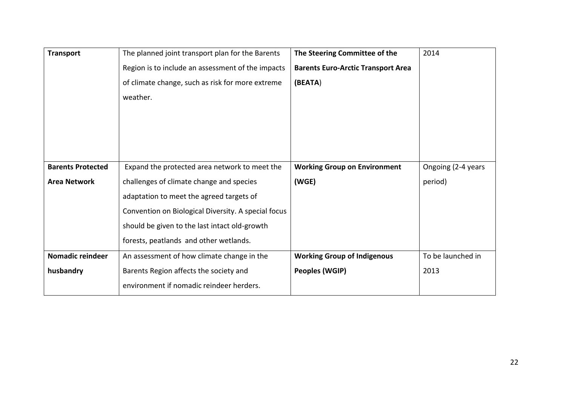| <b>Transport</b>         | The planned joint transport plan for the Barents    | The Steering Committee of the             | 2014               |
|--------------------------|-----------------------------------------------------|-------------------------------------------|--------------------|
|                          | Region is to include an assessment of the impacts   | <b>Barents Euro-Arctic Transport Area</b> |                    |
|                          | of climate change, such as risk for more extreme    | (BEATA)                                   |                    |
|                          | weather.                                            |                                           |                    |
|                          |                                                     |                                           |                    |
|                          |                                                     |                                           |                    |
|                          |                                                     |                                           |                    |
|                          |                                                     |                                           |                    |
| <b>Barents Protected</b> | Expand the protected area network to meet the       | <b>Working Group on Environment</b>       | Ongoing (2-4 years |
| <b>Area Network</b>      | challenges of climate change and species            | (WGE)                                     | period)            |
|                          | adaptation to meet the agreed targets of            |                                           |                    |
|                          | Convention on Biological Diversity. A special focus |                                           |                    |
|                          | should be given to the last intact old-growth       |                                           |                    |
|                          | forests, peatlands and other wetlands.              |                                           |                    |
| Nomadic reindeer         | An assessment of how climate change in the          | <b>Working Group of Indigenous</b>        | To be launched in  |
| husbandry                | Barents Region affects the society and              | Peoples (WGIP)                            | 2013               |
|                          | environment if nomadic reindeer herders.            |                                           |                    |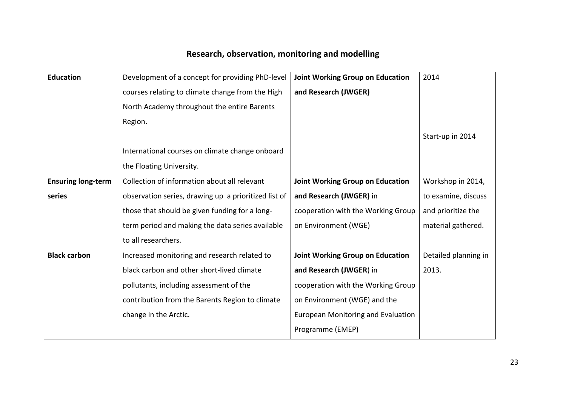# **Research, observation, monitoring and modelling**

| <b>Education</b>          | Development of a concept for providing PhD-level     | <b>Joint Working Group on Education</b> | 2014                 |
|---------------------------|------------------------------------------------------|-----------------------------------------|----------------------|
|                           | courses relating to climate change from the High     | and Research (JWGER)                    |                      |
|                           | North Academy throughout the entire Barents          |                                         |                      |
|                           | Region.                                              |                                         |                      |
|                           |                                                      |                                         | Start-up in 2014     |
|                           | International courses on climate change onboard      |                                         |                      |
|                           | the Floating University.                             |                                         |                      |
| <b>Ensuring long-term</b> | Collection of information about all relevant         | Joint Working Group on Education        | Workshop in 2014,    |
| series                    | observation series, drawing up a prioritized list of | and Research (JWGER) in                 | to examine, discuss  |
|                           | those that should be given funding for a long-       | cooperation with the Working Group      | and prioritize the   |
|                           | term period and making the data series available     | on Environment (WGE)                    | material gathered.   |
|                           | to all researchers.                                  |                                         |                      |
| <b>Black carbon</b>       | Increased monitoring and research related to         | Joint Working Group on Education        | Detailed planning in |
|                           | black carbon and other short-lived climate           | and Research (JWGER) in                 | 2013.                |
|                           | pollutants, including assessment of the              | cooperation with the Working Group      |                      |
|                           | contribution from the Barents Region to climate      | on Environment (WGE) and the            |                      |
|                           | change in the Arctic.                                | European Monitoring and Evaluation      |                      |
|                           |                                                      | Programme (EMEP)                        |                      |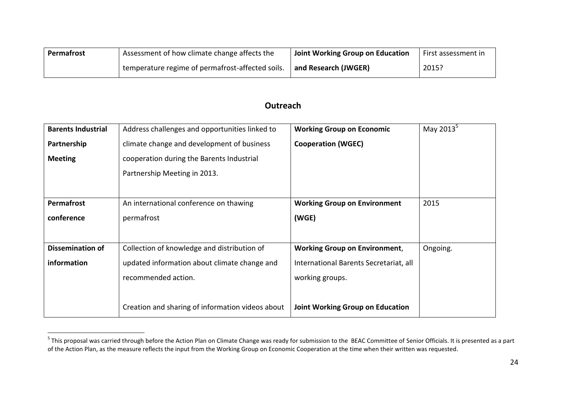| Permafrost | Assessment of how climate change affects the     | Joint Working Group on Education | First assessment in |
|------------|--------------------------------------------------|----------------------------------|---------------------|
|            | temperature regime of permafrost-affected soils. | and Research (JWGER)             | 2015?               |

### **Outreach**

| <b>Barents Industrial</b> | Address challenges and opportunities linked to   | <b>Working Group on Economic</b>        | May 2013 <sup>5</sup> |
|---------------------------|--------------------------------------------------|-----------------------------------------|-----------------------|
| Partnership               | climate change and development of business       | <b>Cooperation (WGEC)</b>               |                       |
| <b>Meeting</b>            | cooperation during the Barents Industrial        |                                         |                       |
|                           | Partnership Meeting in 2013.                     |                                         |                       |
|                           |                                                  |                                         |                       |
| <b>Permafrost</b>         | An international conference on thawing           | <b>Working Group on Environment</b>     | 2015                  |
| conference                | permafrost                                       | (WGE)                                   |                       |
|                           |                                                  |                                         |                       |
| <b>Dissemination of</b>   | Collection of knowledge and distribution of      | <b>Working Group on Environment,</b>    | Ongoing.              |
| information               | updated information about climate change and     | International Barents Secretariat, all  |                       |
|                           | recommended action.                              | working groups.                         |                       |
|                           |                                                  |                                         |                       |
|                           | Creation and sharing of information videos about | <b>Joint Working Group on Education</b> |                       |

<sup>&</sup>lt;u>5</u><br><sup>5</sup> This proposal was carried through before the Action Plan on Climate Change was ready for submission to the BEAC Committee of Senior Officials. It is presented as a part of the Action Plan, as the measure reflects the input from the Working Group on Economic Cooperation at the time when their written was requested.